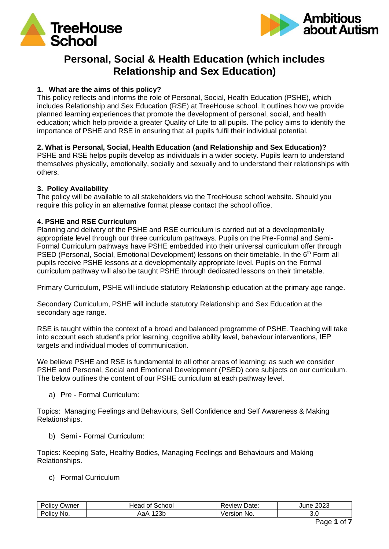



# **Personal, Social & Health Education (which includes Relationship and Sex Education)**

# **1. What are the aims of this policy?**

This policy reflects and informs the role of Personal, Social, Health Education (PSHE), which includes Relationship and Sex Education (RSE) at TreeHouse school. It outlines how we provide planned learning experiences that promote the development of personal, social, and health education; which help provide a greater Quality of Life to all pupils. The policy aims to identify the importance of PSHE and RSE in ensuring that all pupils fulfil their individual potential.

# **2. What is Personal, Social, Health Education (and Relationship and Sex Education)?**

PSHE and RSE helps pupils develop as individuals in a wider society. Pupils learn to understand themselves physically, emotionally, socially and sexually and to understand their relationships with others.

# **3. Policy Availability**

The policy will be available to all stakeholders via the TreeHouse school website. Should you require this policy in an alternative format please contact the school office.

# **4. PSHE and RSE Curriculum**

Planning and delivery of the PSHE and RSE curriculum is carried out at a developmentally appropriate level through our three curriculum pathways. Pupils on the Pre-Formal and Semi-Formal Curriculum pathways have PSHE embedded into their universal curriculum offer through PSED (Personal, Social, Emotional Development) lessons on their timetable. In the 6<sup>th</sup> Form all pupils receive PSHE lessons at a developmentally appropriate level. Pupils on the Formal curriculum pathway will also be taught PSHE through dedicated lessons on their timetable.

Primary Curriculum, PSHE will include statutory Relationship education at the primary age range.

Secondary Curriculum, PSHE will include statutory Relationship and Sex Education at the secondary age range.

RSE is taught within the context of a broad and balanced programme of PSHE. Teaching will take into account each student's prior learning, cognitive ability level, behaviour interventions, IEP targets and individual modes of communication.

We believe PSHE and RSE is fundamental to all other areas of learning; as such we consider PSHE and Personal, Social and Emotional Development (PSED) core subjects on our curriculum. The below outlines the content of our PSHE curriculum at each pathway level.

a) Pre - Formal Curriculum:

Topics: Managing Feelings and Behaviours, Self Confidence and Self Awareness & Making Relationships.

b) Semi - Formal Curriculum:

Topics: Keeping Safe, Healthy Bodies, Managing Feelings and Behaviours and Making Relationships.

c) Formal Curriculum

| Policy         | School                            | Date:         | 2023   |
|----------------|-----------------------------------|---------------|--------|
| ⊃wner          | Head of                           | ,≺eview '     | June : |
| Policy,<br>NO. | $\sim$ $\sim$ $\sim$<br>∠ט<br>٦а. | No.<br>ersion | J.U    |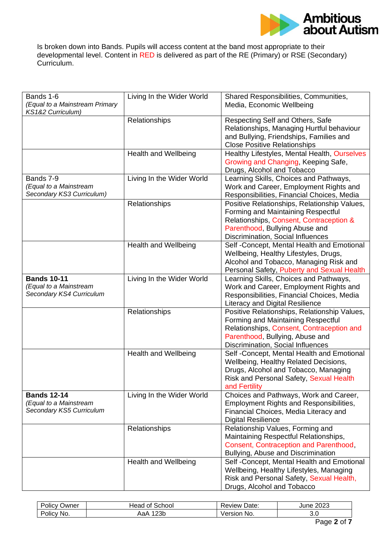

Is broken down into Bands. Pupils will access content at the band most appropriate to their developmental level. Content in RED is delivered as part of the RE (Primary) or RSE (Secondary) Curriculum.

| Bands 1-6                      | Living In the Wider World   | Shared Responsibilities, Communities,        |
|--------------------------------|-----------------------------|----------------------------------------------|
|                                |                             |                                              |
| (Equal to a Mainstream Primary |                             | Media, Economic Wellbeing                    |
| KS1&2 Curriculum)              |                             |                                              |
|                                | Relationships               | Respecting Self and Others, Safe             |
|                                |                             | Relationships, Managing Hurtful behaviour    |
|                                |                             | and Bullying, Friendships, Families and      |
|                                |                             | <b>Close Positive Relationships</b>          |
|                                | <b>Health and Wellbeing</b> | Healthy Lifestyles, Mental Health, Ourselves |
|                                |                             | Growing and Changing, Keeping Safe,          |
|                                |                             | Drugs, Alcohol and Tobacco                   |
| Bands 7-9                      | Living In the Wider World   | Learning Skills, Choices and Pathways,       |
| (Equal to a Mainstream         |                             | Work and Career, Employment Rights and       |
| Secondary KS3 Curriculum)      |                             | Responsibilities, Financial Choices, Media   |
|                                | Relationships               | Positive Relationships, Relationship Values, |
|                                |                             |                                              |
|                                |                             | Forming and Maintaining Respectful           |
|                                |                             | Relationships, Consent, Contraception &      |
|                                |                             | Parenthood, Bullying Abuse and               |
|                                |                             | Discrimination, Social Influences            |
|                                | <b>Health and Wellbeing</b> | Self -Concept, Mental Health and Emotional   |
|                                |                             | Wellbeing, Healthy Lifestyles, Drugs,        |
|                                |                             | Alcohol and Tobacco, Managing Risk and       |
|                                |                             | Personal Safety, Puberty and Sexual Health   |
| <b>Bands 10-11</b>             | Living In the Wider World   | Learning Skills, Choices and Pathways,       |
| (Equal to a Mainstream         |                             | Work and Career, Employment Rights and       |
| Secondary KS4 Curriculum       |                             | Responsibilities, Financial Choices, Media   |
|                                |                             | <b>Literacy and Digital Resilience</b>       |
|                                | Relationships               | Positive Relationships, Relationship Values, |
|                                |                             | Forming and Maintaining Respectful           |
|                                |                             | Relationships, Consent, Contraception and    |
|                                |                             |                                              |
|                                |                             | Parenthood, Bullying, Abuse and              |
|                                |                             | Discrimination, Social Influences            |
|                                | <b>Health and Wellbeing</b> | Self -Concept, Mental Health and Emotional   |
|                                |                             | Wellbeing, Healthy Related Decisions,        |
|                                |                             | Drugs, Alcohol and Tobacco, Managing         |
|                                |                             | Risk and Personal Safety, Sexual Health      |
|                                |                             | and Fertility                                |
| <b>Bands 12-14</b>             | Living In the Wider World   | Choices and Pathways, Work and Career,       |
| (Equal to a Mainstream         |                             | Employment Rights and Responsibilities,      |
| Secondary KS5 Curriculum       |                             | Financial Choices, Media Literacy and        |
|                                |                             | <b>Digital Resilience</b>                    |
|                                | Relationships               | Relationship Values, Forming and             |
|                                |                             | Maintaining Respectful Relationships,        |
|                                |                             | Consent, Contraception and Parenthood,       |
|                                |                             | Bullying, Abuse and Discrimination           |
|                                |                             |                                              |
|                                | Health and Wellbeing        | Self -Concept, Mental Health and Emotional   |
|                                |                             | Wellbeing, Healthy Lifestyles, Managing      |
|                                |                             | Risk and Personal Safety, Sexual Health,     |
|                                |                             | Drugs, Alcohol and Tobacco                   |

| שwner<br>olicy | School<br>οt<br>⊣ead | Date:<br>⊀eview    | 2023<br>June |
|----------------|----------------------|--------------------|--------------|
| NO.<br>OIIC    | つつに<br>∠⊃⊾<br>Aar    | rsion<br>NO.<br>٬e | v.v          |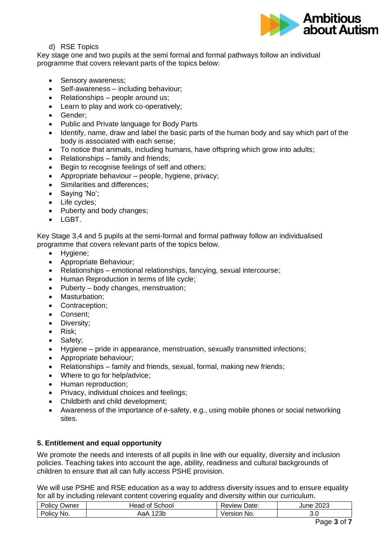

## d) RSE Topics

Key stage one and two pupils at the semi formal and formal pathways follow an individual programme that covers relevant parts of the topics below:

- Sensory awareness:
- Self-awareness including behaviour;
- Relationships people around us;
- Learn to play and work co-operatively;
- Gender;
- Public and Private language for Body Parts
- Identify, name, draw and label the basic parts of the human body and say which part of the body is associated with each sense;
- To notice that animals, including humans, have offspring which grow into adults;
- Relationships family and friends;
- Begin to recognise feelings of self and others;
- Appropriate behaviour people, hygiene, privacy;
- Similarities and differences;
- Saying 'No';
- Life cycles;
- Puberty and body changes:
- LGBT.

Key Stage 3,4 and 5 pupils at the semi-formal and formal pathway follow an individualised programme that covers relevant parts of the topics below.

- Hygiene;
- Appropriate Behaviour;
- Relationships emotional relationships, fancying, sexual intercourse;
- Human Reproduction in terms of life cycle;
- Puberty body changes, menstruation;
- Masturbation;
- Contraception;
- Consent;
- Diversity;
- Risk;
- Safety;
- Hygiene pride in appearance, menstruation, sexually transmitted infections;
- Appropriate behaviour;
- Relationships family and friends, sexual, formal, making new friends;
- Where to go for help/advice;
- Human reproduction;
- Privacy, individual choices and feelings;
- Childbirth and child development;
- Awareness of the importance of e-safety, e.g., using mobile phones or social networking sites.

#### **5. Entitlement and equal opportunity**

We promote the needs and interests of all pupils in line with our equality, diversity and inclusion policies. Teaching takes into account the age, ability, readiness and cultural backgrounds of children to ensure that all can fully access PSHE provision.

We will use PSHE and RSE education as a way to address diversity issues and to ensure equality for all by including relevant content covering equality and diversity within our curriculum.

| -<br>. .<br>שwner<br>יחוחי<br>ັ | `chool<br>⊣eac<br>. . | Jate.<br>'eview | 2023<br>une |
|---------------------------------|-----------------------|-----------------|-------------|
| -<br>Polic'<br>No.              | $\Omega$<br>∠งม<br>٦a | No.             | J.U         |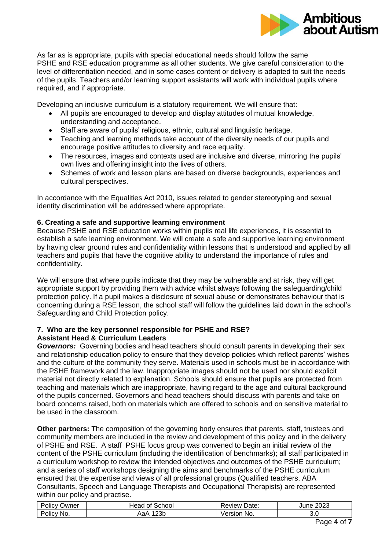

As far as is appropriate, pupils with special educational needs should follow the same PSHE and RSE education programme as all other students. We give careful consideration to the level of differentiation needed, and in some cases content or delivery is adapted to suit the needs of the pupils. Teachers and/or learning support assistants will work with individual pupils where required, and if appropriate.

Developing an inclusive curriculum is a statutory requirement. We will ensure that:

- All pupils are encouraged to develop and display attitudes of mutual knowledge, understanding and acceptance.
- Staff are aware of pupils' religious, ethnic, cultural and linguistic heritage.
- Teaching and learning methods take account of the diversity needs of our pupils and encourage positive attitudes to diversity and race equality.
- The resources, images and contexts used are inclusive and diverse, mirroring the pupils' own lives and offering insight into the lives of others.
- Schemes of work and lesson plans are based on diverse backgrounds, experiences and cultural perspectives.

In accordance with the Equalities Act 2010, issues related to gender stereotyping and sexual identity discrimination will be addressed where appropriate.

# **6. Creating a safe and supportive learning environment**

Because PSHE and RSE education works within pupils real life experiences, it is essential to establish a safe learning environment. We will create a safe and supportive learning environment by having clear ground rules and confidentiality within lessons that is understood and applied by all teachers and pupils that have the cognitive ability to understand the importance of rules and confidentiality.

We will ensure that where pupils indicate that they may be vulnerable and at risk, they will get appropriate support by providing them with advice whilst always following the safeguarding/child protection policy. If a pupil makes a disclosure of sexual abuse or demonstrates behaviour that is concerning during a RSE lesson, the school staff will follow the guidelines laid down in the school's Safeguarding and Child Protection policy.

#### **7. Who are the key personnel responsible for PSHE and RSE? Assistant Head & Curriculum Leaders**

*Governors:*Governing bodies and head teachers should consult parents in developing their sex and relationship education policy to ensure that they develop policies which reflect parents' wishes and the culture of the community they serve. Materials used in schools must be in accordance with the PSHE framework and the law. Inappropriate images should not be used nor should explicit material not directly related to explanation. Schools should ensure that pupils are protected from teaching and materials which are inappropriate, having regard to the age and cultural background of the pupils concerned. Governors and head teachers should discuss with parents and take on board concerns raised, both on materials which are offered to schools and on sensitive material to be used in the classroom.

**Other partners:** The composition of the governing body ensures that parents, staff, trustees and community members are included in the review and development of this policy and in the delivery of PSHE and RSE. A staff PSHE focus group was convened to begin an initial review of the content of the PSHE curriculum (including the identification of benchmarks); all staff participated in a curriculum workshop to review the intended objectives and outcomes of the PSHE curriculum; and a series of staff workshops designing the aims and benchmarks of the PSHE curriculum ensured that the expertise and views of all professional groups (Qualified teachers, ABA Consultants, Speech and Language Therapists and Occupational Therapists) are represented within our policy and practise.

| $\overline{\phantom{0}}$<br>.<br>יאווהי<br>שwner | School<br>Head<br>- 01 | 'Jate.<br>. eview ' | מממ<br>June<br>ن∠∪≻ |
|--------------------------------------------------|------------------------|---------------------|---------------------|
| -<br>No.<br>Olic'                                | $\Omega$<br>∠ఎ⊔        | ersion<br>No.       | o.u                 |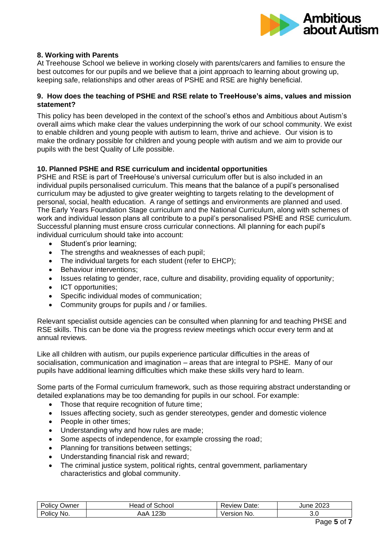

## **8. Working with Parents**

At Treehouse School we believe in working closely with parents/carers and families to ensure the best outcomes for our pupils and we believe that a joint approach to learning about growing up, keeping safe, relationships and other areas of PSHE and RSE are highly beneficial.

#### **9. How does the teaching of PSHE and RSE relate to TreeHouse's aims, values and mission statement?**

This policy has been developed in the context of the school's ethos and Ambitious about Autism's overall aims which make clear the values underpinning the work of our school community. We exist to enable children and young people with autism to learn, thrive and achieve. Our vision is to make the ordinary possible for children and young people with autism and we aim to provide our pupils with the best Quality of Life possible.

# **10. Planned PSHE and RSE curriculum and incidental opportunities**

PSHE and RSE is part of TreeHouse's universal curriculum offer but is also included in an individual pupils personalised curriculum. This means that the balance of a pupil's personalised curriculum may be adjusted to give greater weighting to targets relating to the development of personal, social, health education. A range of settings and environments are planned and used. The Early Years Foundation Stage curriculum and the National Curriculum, along with schemes of work and individual lesson plans all contribute to a pupil's personalised PSHE and RSE curriculum. Successful planning must ensure cross curricular connections. All planning for each pupil's individual curriculum should take into account:

- Student's prior learning:
- The strengths and weaknesses of each pupil;
- The individual targets for each student (refer to EHCP);
- Behaviour interventions;
- Issues relating to gender, race, culture and disability, providing equality of opportunity;
- ICT opportunities;
- Specific individual modes of communication;
- Community groups for pupils and / or families.

Relevant specialist outside agencies can be consulted when planning for and teaching PHSE and RSE skills. This can be done via the progress review meetings which occur every term and at annual reviews.

Like all children with autism, our pupils experience particular difficulties in the areas of socialisation, communication and imagination – areas that are integral to PSHE. Many of our pupils have additional learning difficulties which make these skills very hard to learn.

Some parts of the Formal curriculum framework, such as those requiring abstract understanding or detailed explanations may be too demanding for pupils in our school. For example:

- Those that require recognition of future time;
- Issues affecting society, such as gender stereotypes, gender and domestic violence
- People in other times;
- Understanding why and how rules are made;
- Some aspects of independence, for example crossing the road;
- Planning for transitions between settings;
- Understanding financial risk and reward;
- The criminal justice system, political rights, central government, parliamentary characteristics and global community.

| Policy     | School                           | Date:          | 2023 |
|------------|----------------------------------|----------------|------|
| שwner      | Head of                          | Review '       | June |
| Policy No. | 23 <sub>b</sub><br>$\mathcal{A}$ | Versior<br>No. | J.U  |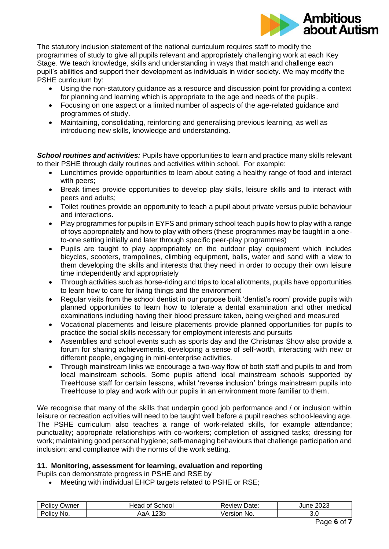

The statutory inclusion statement of the national curriculum requires staff to modify the programmes of study to give all pupils relevant and appropriately challenging work at each Key Stage. We teach knowledge, skills and understanding in ways that match and challenge each pupil's abilities and support their development as individuals in wider society. We may modify the PSHE curriculum by:

- Using the non-statutory guidance as a resource and discussion point for providing a context for planning and learning which is appropriate to the age and needs of the pupils.
- Focusing on one aspect or a limited number of aspects of the age-related guidance and programmes of study.
- Maintaining, consolidating, reinforcing and generalising previous learning, as well as introducing new skills, knowledge and understanding.

*School routines and activities:* Pupils have opportunities to learn and practice many skills relevant to their PSHE through daily routines and activities within school. For example:

- Lunchtimes provide opportunities to learn about eating a healthy range of food and interact with peers;
- Break times provide opportunities to develop play skills, leisure skills and to interact with peers and adults;
- Toilet routines provide an opportunity to teach a pupil about private versus public behaviour and interactions.
- Play programmes for pupils in EYFS and primary school teach pupils how to play with a range of toys appropriately and how to play with others (these programmes may be taught in a oneto-one setting initially and later through specific peer-play programmes)
- Pupils are taught to play appropriately on the outdoor play equipment which includes bicycles, scooters, trampolines, climbing equipment, balls, water and sand with a view to them developing the skills and interests that they need in order to occupy their own leisure time independently and appropriately
- Through activities such as horse-riding and trips to local allotments, pupils have opportunities to learn how to care for living things and the environment
- Regular visits from the school dentist in our purpose built 'dentist's room' provide pupils with planned opportunities to learn how to tolerate a dental examination and other medical examinations including having their blood pressure taken, being weighed and measured
- Vocational placements and leisure placements provide planned opportunities for pupils to practice the social skills necessary for employment interests and pursuits
- Assemblies and school events such as sports day and the Christmas Show also provide a forum for sharing achievements, developing a sense of self-worth, interacting with new or different people, engaging in mini-enterprise activities.
- Through mainstream links we encourage a two-way flow of both staff and pupils to and from local mainstream schools. Some pupils attend local mainstream schools supported by TreeHouse staff for certain lessons, whilst 'reverse inclusion' brings mainstream pupils into TreeHouse to play and work with our pupils in an environment more familiar to them.

We recognise that many of the skills that underpin good job performance and / or inclusion within leisure or recreation activities will need to be taught well before a pupil reaches school-leaving age. The PSHE curriculum also teaches a range of work-related skills, for example attendance; punctuality; appropriate relationships with co-workers; completion of assigned tasks; dressing for work; maintaining good personal hygiene; self-managing behaviours that challenge participation and inclusion; and compliance with the norms of the work setting.

# **11. Monitoring, assessment for learning, evaluation and reporting**

Pupils can demonstrate progress in PSHE and RSE by

• Meeting with individual EHCP targets related to PSHE or RSE:

| olic\<br>Jwner | Head<br>School<br>Οl | Date:<br>∴eview. | 2023<br>June 1 |
|----------------|----------------------|------------------|----------------|
| No.<br>olic    | nn<br>بات<br>. .ar   | sior<br>NO.      | v.v            |